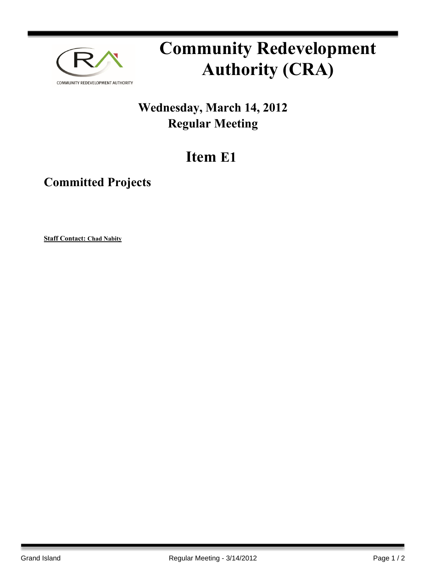

## **Community Redevelopment Authority (CRA)**

## **Wednesday, March 14, 2012 Regular Meeting**

## **Item E1**

## **Committed Projects**

**Staff Contact: Chad Nabity**